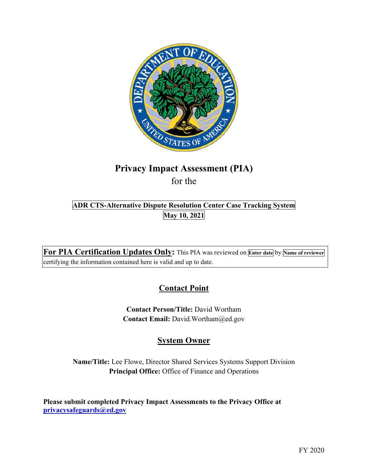

# **Privacy Impact Assessment (PIA)**  for the

# **ADR CTS-Alternative Dispute Resolution Center Case Tracking System May 10, 2021**

 **For PIA Certification Updates Only:** This PIA was reviewed on **Enter date** by **Name of reviewer**  certifying the information contained here is valid and up to date.

# **Contact Point**

**Contact Person/Title:** David Wortham **Contact Email:** [David.Wortham@ed.gov](mailto:David.Wortham@ed.gov)

# **System Owner**

**Name/Title:** Lee Flowe, Director Shared Services Systems Support Division **Principal Office:** Office of Finance and Operations

 **Please submit completed Privacy Impact Assessments to the Privacy Office at [privacysafeguards@ed.gov](mailto:privacysafeguards@ed.gov)**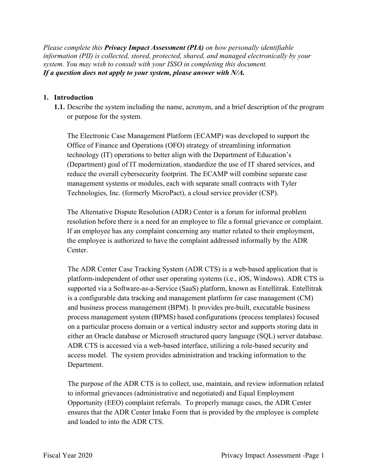*Please complete this Privacy Impact Assessment (PIA) on how personally identifiable information (PII) is collected, stored, protected, shared, and managed electronically by your system. You may wish to consult with your ISSO in completing this document. If a question does not apply to your system, please answer with N/A.* 

#### **1. Introduction**

or purpose for the system. **1.1.** Describe the system including the name, acronym, and a brief description of the program

or purpose for the system.<br>The Electronic Case Management Platform (ECAMP) was developed to support the Office of Finance and Operations (OFO) strategy of streamlining information (Department) goal of IT modernization, standardize the use of IT shared services, and Technologies, Inc. (formerly MicroPact), a cloud service provider (CSP). technology (IT) operations to better align with the Department of Education's reduce the overall cybersecurity footprint. The ECAMP will combine separate case management systems or modules, each with separate small contracts with Tyler

The Alternative Dispute Resolution (ADR) Center is a forum for informal problem resolution before there is a need for an employee to file a formal grievance or complaint. If an employee has any complaint concerning any matter related to their employment, the employee is authorized to have the complaint addressed informally by the ADR Center.

 is a configurable data tracking and management platform for case management (CM) process management system (BPMS) based configurations (process templates) focused either an Oracle database or Microsoft structured query language (SQL) server database. The ADR Center Case Tracking System (ADR CTS) is a web-based application that is platform-independent of other user operating systems (i.e., iOS, Windows). ADR CTS is supported via a Software-as-a-Service (SaaS) platform, known as Entellitrak. Entellitrak and business process management (BPM). It provides pre-built, executable business on a particular process domain or a vertical industry sector and supports storing data in ADR CTS is accessed via a web-based interface, utilizing a role-based security and access model. The system provides administration and tracking information to the Department.

 The purpose of the ADR CTS is to collect, use, maintain, and review information related Opportunity (EEO) complaint referrals. To properly manage cases, the ADR Center ensures that the ADR Center Intake Form that is provided by the employee is complete and loaded to into the ADR CTS. to informal grievances (administrative and negotiated) and Equal Employment and loaded to into the ADR CTS.<br>Fiscal Year 2020 Privacy Impact Assessment -Page 1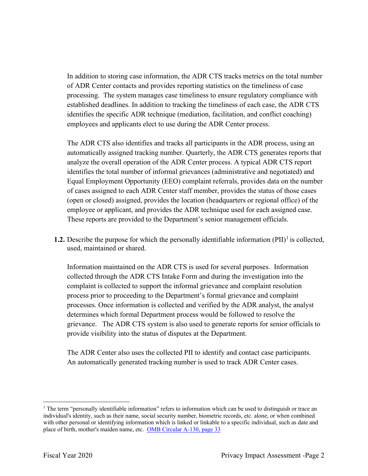In addition to storing case information, the ADR CTS tracks metrics on the total number established deadlines. In addition to tracking the timeliness of each case, the ADR CTS employees and applicants elect to use during the ADR Center process. of ADR Center contacts and provides reporting statistics on the timeliness of case processing. The system manages case timeliness to ensure regulatory compliance with identifies the specific ADR technique (mediation, facilitation, and conflict coaching)

 automatically assigned tracking number. Quarterly, the ADR CTS generates reports that analyze the overall operation of the ADR Center process. A typical ADR CTS report Equal Employment Opportunity (EEO) complaint referrals, provides data on the number of cases assigned to each ADR Center staff member, provides the status of those cases (open or closed) assigned, provides the location (headquarters or regional office) of the employee or applicant, and provides the ADR technique used for each assigned case. These reports are provided to the Department's senior management officials. The ADR CTS also identifies and tracks all participants in the ADR process, using an identifies the total number of informal grievances (administrative and negotiated) and

**1.2.** Describe the purpose for which the personally identifiable information  $(PII)^{1}$  is collected, used, maintained or shared.

 Information maintained on the ADR CTS is used for several purposes. Information collected through the ADR CTS Intake Form and during the investigation into the grievance. The ADR CTS system is also used to generate reports for senior officials to complaint is collected to support the informal grievance and complaint resolution process prior to proceeding to the Department's formal grievance and complaint processes. Once information is collected and verified by the ADR analyst, the analyst determines which formal Department process would be followed to resolve the provide visibility into the status of disputes at the Department.

 The ADR Center also uses the collected PII to identify and contact case participants. An automatically generated tracking number is used to track ADR Center cases.

 $1$  The term "personally identifiable information" refers to information which can be used to distinguish or trace an individual's identity, such as their name, social security number, biometric records, etc. alone, or when combined with other personal or identifying information which is linked or linkable to a specific individual, such as date and place of birth, mother's maiden name, etc. OMB Circular A-130, page 33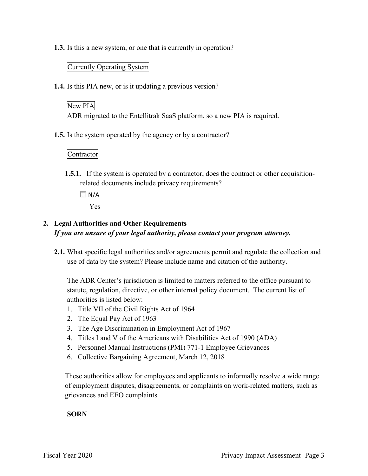**1.3.** Is this a new system, or one that is currently in operation?

#### Currently Operating System

**1.4.** Is this PIA new, or is it updating a previous version?

## New PIA

ADR migrated to the Entellitrak SaaS platform, so a new PIA is required.

**1.5.** Is the system operated by the agency or by a contractor?

Contractor

**1.5.1.** If the system is operated by a contractor, does the contract or other acquisitionrelated documents include privacy requirements?

 $\Box N/A$ 

Yes

# **2. Legal Authorities and Other Requirements**  *If you are unsure of your legal authority, please contact your program attorney.*

 **2.1.** What specific legal authorities and/or agreements permit and regulate the collection and use of data by the system? Please include name and citation of the authority.

 The ADR Center's jurisdiction is limited to matters referred to the office pursuant to statute, regulation, directive, or other internal policy document. The current list of authorities is listed below:

- 1. Title VII of the Civil Rights Act of 1964
- 2. The Equal Pay Act of 1963
- 3. The Age Discrimination in Employment Act of 1967
- 4. Titles I and V of the Americans with Disabilities Act of 1990 (ADA)
- 5. Personnel Manual Instructions (PMI) 771-1 Employee Grievances
- 6. Collective Bargaining Agreement, March 12, 2018

These authorities allow for employees and applicants to informally resolve a wide range of employment disputes, disagreements, or complaints on work-related matters, such as grievances and EEO complaints.

#### **SORN**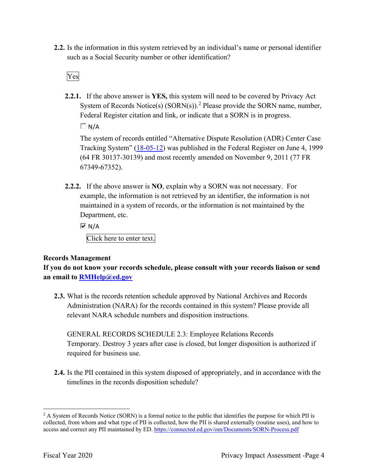**2.2.** Is the information in this system retrieved by an individual's name or personal identifier such as a Social Security number or other identification?<br>Ves

**2.2.1.** If the above answer is **YES,** this system will need to be covered by Privacy Act System of Records Notice(s)  $(SORN(s))$ .<sup>2</sup> Please provide the SORN name, number, Federal Register citation and link, or indicate that a SORN is in progress.

 $\Box$  N/A

The system of records entitled "Alternative Dispute Resolution (ADR) Center Case Tracking System" (18-05-12) was published in the Federal Register on June 4, 1999 (64 FR 30137-30139) and most recently amended on November 9, 2011 (77 FR 67349-67352).

 **2.2.2.** If the above answer is **NO**, explain why a SORN was not necessary. For Department, etc. example, the information is not retrieved by an identifier, the information is not maintained in a system of records, or the information is not maintained by the

 $\overline{M}$  N/A

Click here to enter text.

#### **Records Management**

 **an email to [RMHelp@ed.gov](mailto:RMHelp@ed.gov) If you do not know your records schedule, please consult with your records liaison or send** 

 Administration (NARA) for the records contained in this system? Please provide all **2.3.** What is the records retention schedule approved by National Archives and Records relevant NARA schedule numbers and disposition instructions.

 GENERAL RECORDS SCHEDULE 2.3: Employee Relations Records Temporary. Destroy 3 years after case is closed, but longer disposition is authorized if required for business use.

 timelines in the records disposition schedule? **2.4.** Is the PII contained in this system disposed of appropriately, and in accordance with the

 $2$  A System of Records Notice (SORN) is a formal notice to the public that identifies the purpose for which PII is collected, from whom and what type of PII is collected, how the PII is shared externally (routine uses), and how to access and correct any PII maintained by ED. <https://connected.ed.gov/om/Documents/SORN-Process.pdf>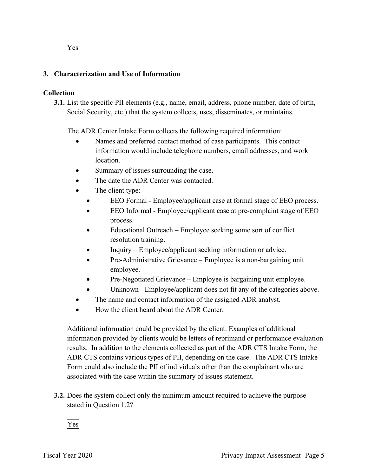#### **3. Characterization and Use of Information**

#### **Collection**

**3.1.** List the specific PII elements (e.g., name, email, address, phone number, date of birth, Social Security, etc.) that the system collects, uses, disseminates, or maintains.

The ADR Center Intake Form collects the following required information:

- • Names and preferred contact method of case participants. This contact information would include telephone numbers, email addresses, and work location.
- Summary of issues surrounding the case.
- The date the ADR Center was contacted.
- The client type:
	- EEO Formal Employee/applicant case at formal stage of EEO process.
	- EEO Informal Employee/applicant case at pre-complaint stage of EEO process.
	- • Educational Outreach Employee seeking some sort of conflict resolution training.
	- Inquiry Employee/applicant seeking information or advice.
	- Pre-Administrative Grievance Employee is a non-bargaining unit employee.
	- Pre-Negotiated Grievance Employee is bargaining unit employee.
	- Unknown Employee/applicant does not fit any of the categories above.
- The name and contact information of the assigned ADR analyst.
- How the client heard about the ADR Center.

 information provided by clients would be letters of reprimand or performance evaluation results. In addition to the elements collected as part of the ADR CTS Intake Form, the ADR CTS contains various types of PII, depending on the case. The ADR CTS Intake Form could also include the PII of individuals other than the complainant who are associated with the case within the summary of issues statement. Additional information could be provided by the client. Examples of additional

 **3.2.** Does the system collect only the minimum amount required to achieve the purpose stated in Question 1.2?<br>Yes

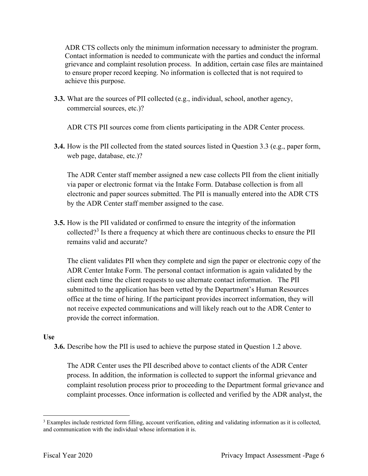grievance and complaint resolution process. In addition, certain case files are maintained to ensure proper record keeping. No information is collected that is not required to ADR CTS collects only the minimum information necessary to administer the program. Contact information is needed to communicate with the parties and conduct the informal achieve this purpose.

**3.3.** What are the sources of PII collected (e.g., individual, school, another agency, commercial sources, etc.)?

ADR CTS PII sources come from clients participating in the ADR Center process.

 **3.4.** How is the PII collected from the stated sources listed in Question 3.3 (e.g., paper form, web page, database, etc.)?

 electronic and paper sources submitted. The PII is manually entered into the ADR CTS The ADR Center staff member assigned a new case collects PII from the client initially via paper or electronic format via the Intake Form. Database collection is from all by the ADR Center staff member assigned to the case.

 **3.5.** How is the PII validated or confirmed to ensure the integrity of the information collected?<sup>3</sup> Is there a frequency at which there are continuous checks to ensure the PII remains valid and accurate?

 client each time the client requests to use alternate contact information. The PII provide the correct information. The client validates PII when they complete and sign the paper or electronic copy of the ADR Center Intake Form. The personal contact information is again validated by the submitted to the application has been vetted by the Department's Human Resources office at the time of hiring. If the participant provides incorrect information, they will not receive expected communications and will likely reach out to the ADR Center to

#### **Use**

**3.6.** Describe how the PII is used to achieve the purpose stated in Question 1.2 above.

 process. In addition, the information is collected to support the informal grievance and The ADR Center uses the PII described above to contact clients of the ADR Center complaint resolution process prior to proceeding to the Department formal grievance and complaint processes. Once information is collected and verified by the ADR analyst, the

 $3$  Examples include restricted form filling, account verification, editing and validating information as it is collected, and communication with the individual whose information it is.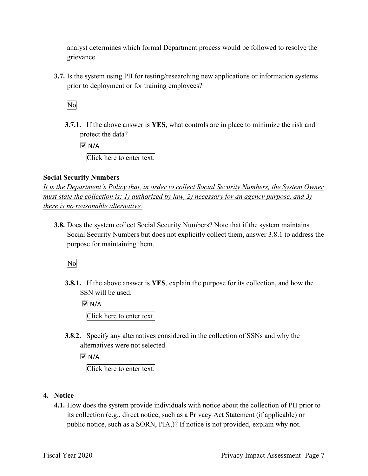analyst determines which formal Department process would be followed to resolve the grievance.

 **3.7.** Is the system using PII for testing/researching new applications or information systems prior to deployment or for training employees?<br>No

 **3.7.1.** If the above answer is **YES,** what controls are in place to minimize the risk and protect the data?

 $\overline{M}$  N/A

Click here to enter text.

#### **Social Security Numbers**

*It is the Department's Policy that, in order to collect Social Security Numbers, the System Owner must state the collection is: 1) authorized by law, 2) necessary for an agency purpose, and 3) there is no reasonable alternative.* 

 **3.8.** Does the system collect Social Security Numbers? Note that if the system maintains Social Security Numbers but does not explicitly collect them, answer 3.8.1 to address the purpose for maintaining them.

No

**3.8.1.** If the above answer is **YES**, explain the purpose for its collection, and how the SSN will be used.

 $\overline{M}$  N/A Click here to enter text.

 **3.8.2.** Specify any alternatives considered in the collection of SSNs and why the alternatives were not selected.

 $\overline{M}$  N/A

Click here to enter text.

- **4. Notice** 
	- its collection (e.g., direct notice, such as a Privacy Act Statement (if applicable) or **4.1.** How does the system provide individuals with notice about the collection of PII prior to public notice, such as a SORN, PIA,)? If notice is not provided, explain why not.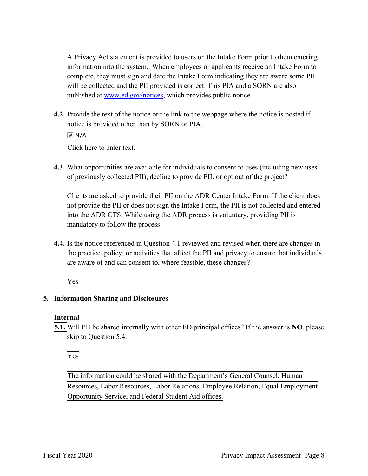complete, they must sign and date the Intake Form indicating they are aware some PII will be collected and the PII provided is correct. This PIA and a SORN are also published at [www.ed.gov/notices,](www.ed.gov/notices) which provides public notice. A Privacy Act statement is provided to users on the Intake Form prior to them entering information into the system. When employees or applicants receive an Intake Form to

**4.2.** Provide the text of the notice or the link to the webpage where the notice is posted if notice is provided other than by SORN or PIA.

 Click here to enter text.  $\overline{M}$  N/A

 **4.3.** What opportunities are available for individuals to consent to uses (including new uses of previously collected PII), decline to provide PII, or opt out of the project?

 Clients are asked to provide their PII on the ADR Center Intake Form. If the client does mandatory to follow the process. not provide the PII or does not sign the Intake Form, the PII is not collected and entered into the ADR CTS. While using the ADR process is voluntary, providing PII is

**4.4.** Is the notice referenced in Question 4.1 reviewed and revised when there are changes in the practice, policy, or activities that affect the PII and privacy to ensure that individuals are aware of and can consent to, where feasible, these changes?

Yes

## **5. Information Sharing and Disclosures**

## **Internal**

 **5.1.** Will PII be shared internally with other ED principal offices? If the answer is **NO**, please skip to Question 5.4.

Yes

 The information could be shared with the Department's General Counsel, Human Resources, Labor Resources, Labor Relations, Employee Relation, Equal Employment Opportunity Service, and Federal Student Aid offices.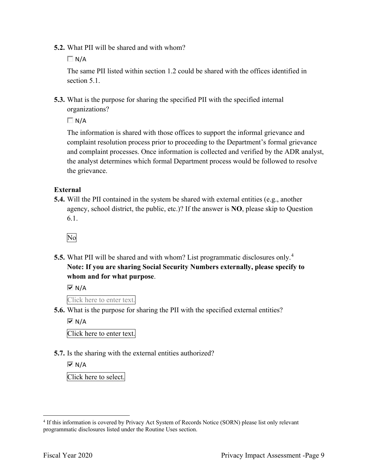**5.2.** What PII will be shared and with whom?

 $\Box N/A$ 

The same PII listed within section 1.2 could be shared with the offices identified in section 5.1.

 **5.3.** What is the purpose for sharing the specified PII with the specified internal organizations?

 $\Box N/A$ 

 and complaint processes. Once information is collected and verified by the ADR analyst, The information is shared with those offices to support the informal grievance and complaint resolution process prior to proceeding to the Department's formal grievance the analyst determines which formal Department process would be followed to resolve the grievance.

#### **External**

 **5.4.** Will the PII contained in the system be shared with external entities (e.g., another agency, school district, the public, etc.)? If the answer is **NO**, please skip to Question 6.1.

No

 **5.5.** What PII will be shared and with whom? List programmatic disclosures only. 4  **Note: If you are sharing Social Security Numbers externally, please specify to whom and for what purpose**.

 $\overline{M}$  N/A

Click here to enter text.

**5.6.** What is the purpose for sharing the PII with the specified external entities?

 $\overline{M}$  N/A

Click here to enter text.

**5.7.** Is the sharing with the external entities authorized?

l **I⊽**N/A

Click here to select.

<sup>&</sup>lt;sup>4</sup> If this information is covered by Privacy Act System of Records Notice (SORN) please list only relevant programmatic disclosures listed under the Routine Uses section.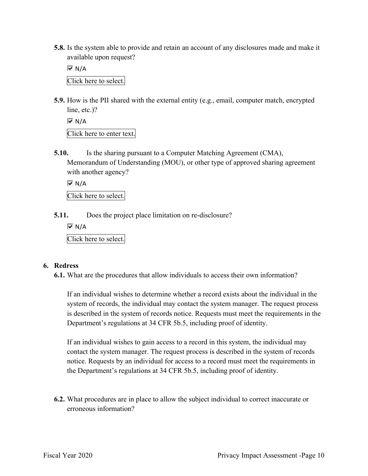**5.8.** Is the system able to provide and retain an account of any disclosures made and make it available upon request?

 $\overline{M}$  N/A

Click here to select.

**5.9.** How is the PII shared with the external entity (e.g., email, computer match, encrypted line, etc.)?

 $\overline{M}$  N/A

Click here to enter text.

**5.10.** Is the sharing pursuant to a Computer Matching Agreement (CMA), Memorandum of Understanding (MOU), or other type of approved sharing agreement with another agency?

 $\overline{M}$  N/A

Click here to select.

**5.11.** Does the project place limitation on re-disclosure?

 $\overline{M}$  N/A

Click here to select.

#### **6. Redress**

**6.1.** What are the procedures that allow individuals to access their own information?

 If an individual wishes to determine whether a record exists about the individual in the is described in the system of records notice. Requests must meet the requirements in the Department's regulations at 34 CFR 5b.5, including proof of identity. system of records, the individual may contact the system manager. The request process

 notice. Requests by an individual for access to a record must meet the requirements in If an individual wishes to gain access to a record in this system, the individual may contact the system manager. The request process is described in the system of records the Department's regulations at 34 CFR 5b.5, including proof of identity.

 **6.2.** What procedures are in place to allow the subject individual to correct inaccurate or erroneous information?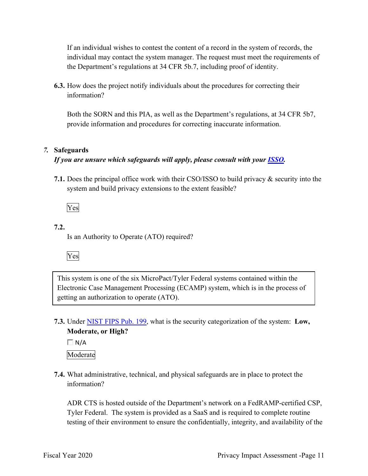If an individual wishes to contest the content of a record in the system of records, the individual may contact the system manager. The request must meet the requirements of the Department's regulations at 34 CFR 5b.7, including proof of identity.

**6.3.** How does the project notify individuals about the procedures for correcting their information?

 provide information and procedures for correcting inaccurate information. Both the SORN and this PIA, as well as the Department's regulations, at 34 CFR 5b7,

#### *7.* **Safeguards**

#### *If you are unsure which safeguards will apply, please consult with your ISSO.*

 **7.1.** Does the principal office work with their CSO/ISSO to build privacy & security into the system and build privacy extensions to the extent feasible?

Yes

## **7.2.**

Is an Authority to Operate (ATO) required?



 This system is one of the six MicroPact/Tyler Federal systems contained within the Electronic Case Management Processing (ECAMP) system, which is in the process of getting an authorization to operate (ATO).

 **7.3.** Under NIST FIPS Pub. 199, what is the security categorization of the system: **Low, Moderate, or High?** 

 $\Box$  N/A

Moderate

 **7.4.** What administrative, technical, and physical safeguards are in place to protect the information?

ADR CTS is hosted outside of the Department's network on a FedRAMP-certified CSP, Tyler Federal. The system is provided as a SaaS and is required to complete routine testing of their environment to ensure the confidentially, integrity, and availability of the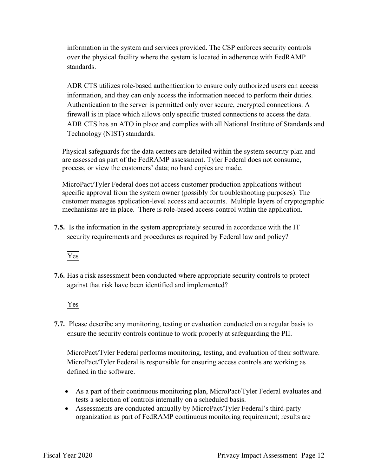over the physical facility where the system is located in adherence with FedRAMP information in the system and services provided. The CSP enforces security controls standards.

firewall is in place which allows only specific trusted connections to access the data. firewall is in place which allows only specific trusted connections to access the data. ADR CTS has an ATO in place and complies with all National Institute of Standards and Technology (NIST) standards. ADR CTS utilizes role-based authentication to ensure only authorized users can access information, and they can only access the information needed to perform their duties. Authentication to the server is permitted only over secure, encrypted connections. A

Physical safeguards for the data centers are detailed within the system security plan and are assessed as part of the FedRAMP assessment. Tyler Federal does not consume, process, or view the customers' data; no hard copies are made.

 mechanisms are in place. There is role-based access control within the application. MicroPact/Tyler Federal does not access customer production applications without specific approval from the system owner (possibly for troubleshooting purposes). The customer manages application-level access and accounts. Multiple layers of cryptographic

 **7.5.** Is the information in the system appropriately secured in accordance with the IT security requirements and procedures as required by Federal law and policy?



**7.6.** Has a risk assessment been conducted where appropriate security controls to protect against that risk have been identified and implemented?

Yes

 ensure the security controls continue to work properly at safeguarding the PII. **7.7.** Please describe any monitoring, testing or evaluation conducted on a regular basis to

MicroPact/Tyler Federal performs monitoring, testing, and evaluation of their software. MicroPact/Tyler Federal is responsible for ensuring access controls are working as defined in the software.

- • As a part of their continuous monitoring plan, MicroPact/Tyler Federal evaluates and tests a selection of controls internally on a scheduled basis.
- Assessments are conducted annually by MicroPact/Tyler Federal's third-party organization as part of FedRAMP continuous monitoring requirement; results are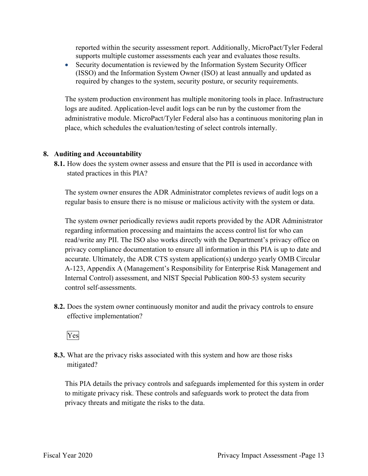reported within the security assessment report. Additionally, MicroPact/Tyler Federal supports multiple customer assessments each year and evaluates those results.

 • Security documentation is reviewed by the Information System Security Officer (ISSO) and the Information System Owner (ISO) at least annually and updated as required by changes to the system, security posture, or security requirements.

 administrative module. MicroPact/Tyler Federal also has a continuous monitoring plan in The system production environment has multiple monitoring tools in place. Infrastructure logs are audited. Application-level audit logs can be run by the customer from the place, which schedules the evaluation/testing of select controls internally.

#### **8. Auditing and Accountability**

 **8.1.** How does the system owner assess and ensure that the PII is used in accordance with stated practices in this PIA?

 The system owner ensures the ADR Administrator completes reviews of audit logs on a regular basis to ensure there is no misuse or malicious activity with the system or data.

 read/write any PII. The ISO also works directly with the Department's privacy office on accurate. Ultimately, the ADR CTS system application(s) undergo yearly OMB Circular Internal Control) assessment, and NIST Special Publication 800-53 system security The system owner periodically reviews audit reports provided by the ADR Administrator regarding information processing and maintains the access control list for who can privacy compliance documentation to ensure all information in this PIA is up to date and A-123, Appendix A (Management's Responsibility for Enterprise Risk Management and control self-assessments.

 **8.2.** Does the system owner continuously monitor and audit the privacy controls to ensure effective implementation?



mitigated? **8.3.** What are the privacy risks associated with this system and how are those risks

mitigated?<br>This PIA details the privacy controls and safeguards implemented for this system in order privacy threats and mitigate the risks to the data. to mitigate privacy risk. These controls and safeguards work to protect the data from